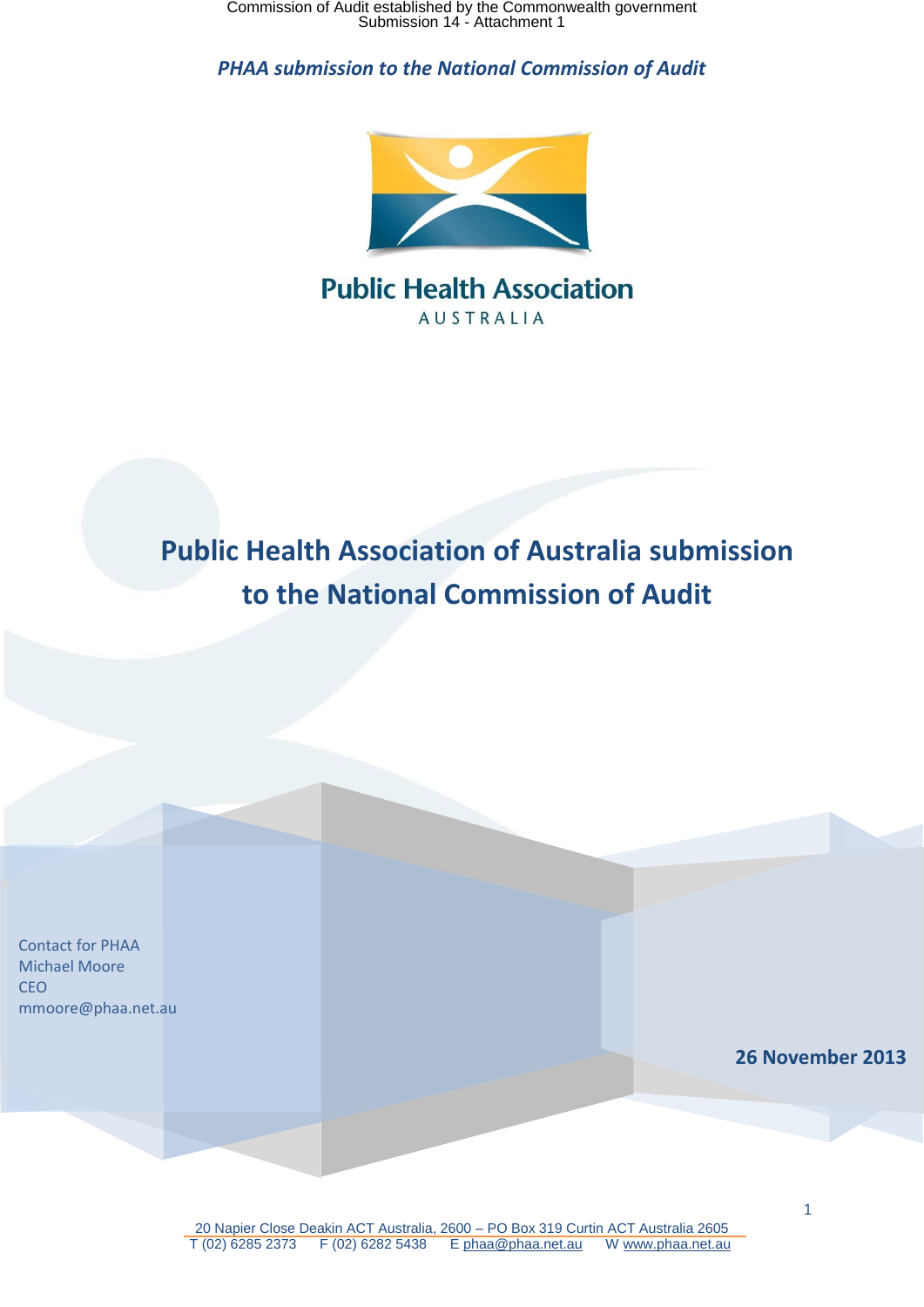Commission of Audit established by the Commonwealth government Submission 14 - Attachment 1

*PHAA submission to the National Commission of Audit*



# **Public Health Association AUSTRALIA**

# **Public Health Association of Australia submission to the National Commission of Audit**

**26 November 2013** Contact for PHAA Michael Moore CEO mmoore@phaa.net.au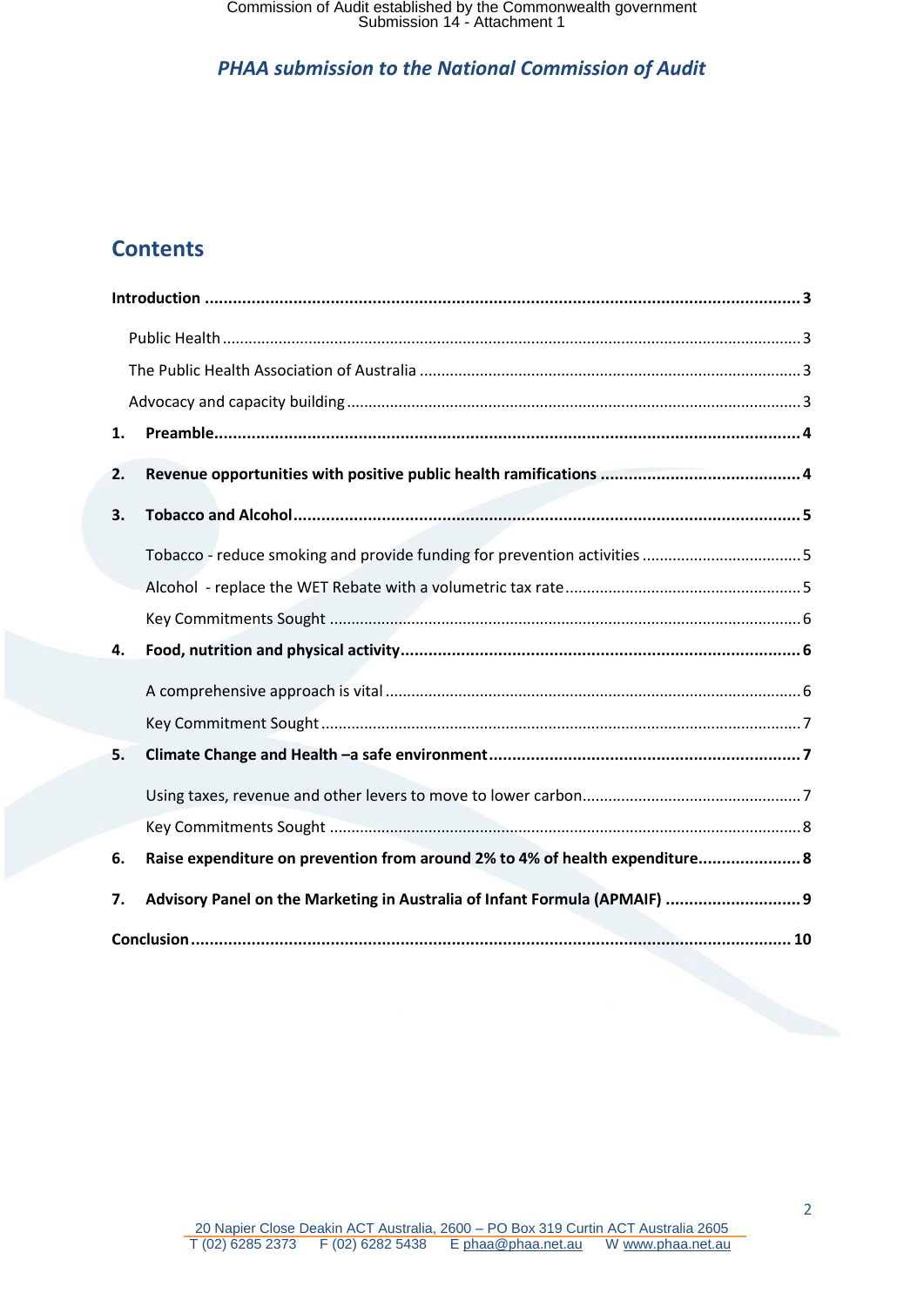# **Contents**

| 1. |                                                                              |  |
|----|------------------------------------------------------------------------------|--|
| 2. |                                                                              |  |
| 3. |                                                                              |  |
|    |                                                                              |  |
|    |                                                                              |  |
|    |                                                                              |  |
| 4. |                                                                              |  |
|    |                                                                              |  |
|    |                                                                              |  |
| 5. |                                                                              |  |
|    |                                                                              |  |
|    |                                                                              |  |
| 6. | Raise expenditure on prevention from around 2% to 4% of health expenditure 8 |  |
| 7. | Advisory Panel on the Marketing in Australia of Infant Formula (APMAIF)  9   |  |
|    |                                                                              |  |

2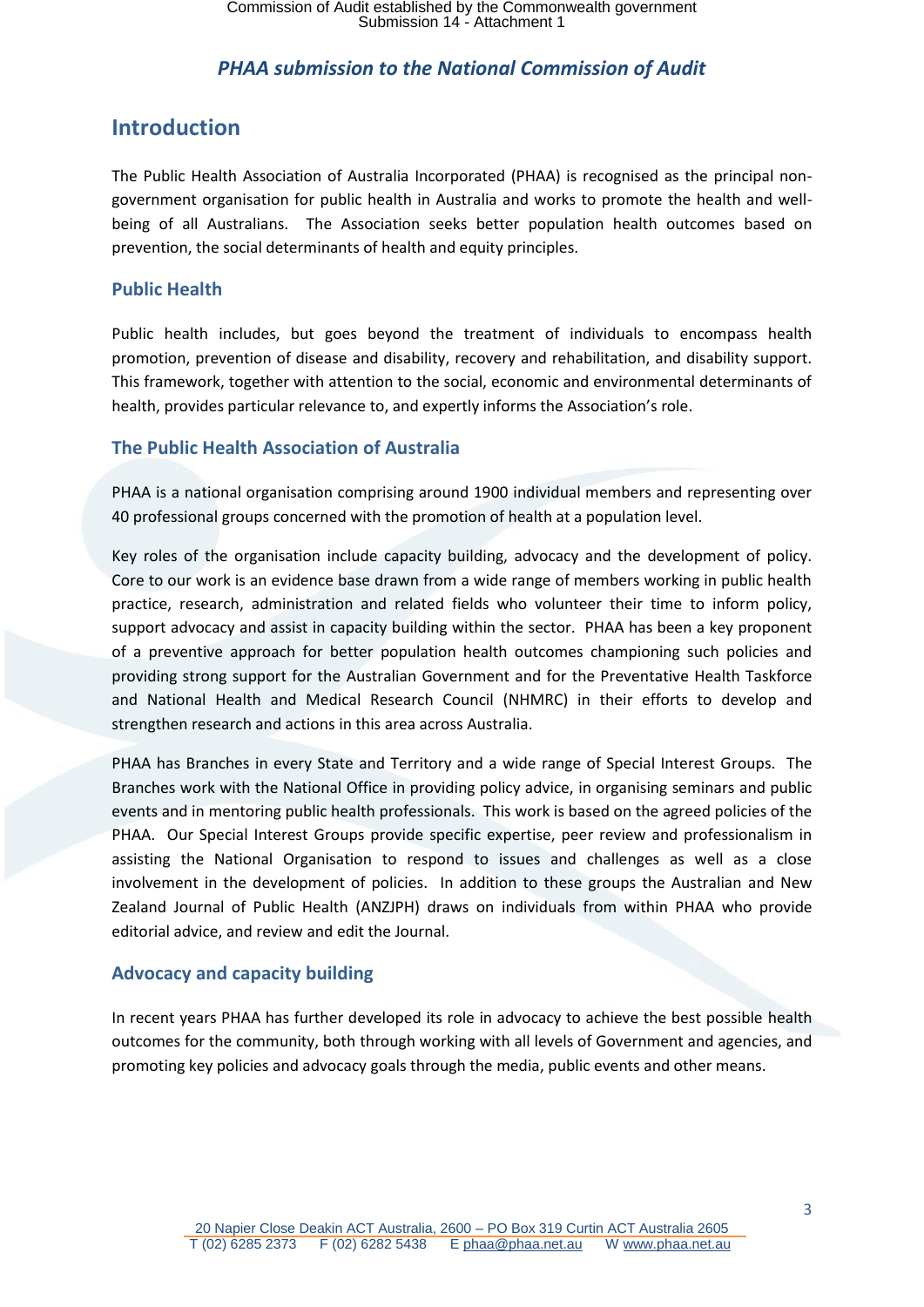### <span id="page-2-0"></span>**Introduction**

The Public Health Association of Australia Incorporated (PHAA) is recognised as the principal nongovernment organisation for public health in Australia and works to promote the health and wellbeing of all Australians. The Association seeks better population health outcomes based on prevention, the social determinants of health and equity principles.

#### <span id="page-2-1"></span>**Public Health**

Public health includes, but goes beyond the treatment of individuals to encompass health promotion, prevention of disease and disability, recovery and rehabilitation, and disability support. This framework, together with attention to the social, economic and environmental determinants of health, provides particular relevance to, and expertly informs the Association's role.

#### <span id="page-2-2"></span>**The Public Health Association of Australia**

PHAA is a national organisation comprising around 1900 individual members and representing over 40 professional groups concerned with the promotion of health at a population level.

Key roles of the organisation include capacity building, advocacy and the development of policy. Core to our work is an evidence base drawn from a wide range of members working in public health practice, research, administration and related fields who volunteer their time to inform policy, support advocacy and assist in capacity building within the sector. PHAA has been a key proponent of a preventive approach for better population health outcomes championing such policies and providing strong support for the Australian Government and for the Preventative Health Taskforce and National Health and Medical Research Council (NHMRC) in their efforts to develop and strengthen research and actions in this area across Australia.

PHAA has Branches in every State and Territory and a wide range of Special Interest Groups. The Branches work with the National Office in providing policy advice, in organising seminars and public events and in mentoring public health professionals. This work is based on the agreed policies of the PHAA. Our Special Interest Groups provide specific expertise, peer review and professionalism in assisting the National Organisation to respond to issues and challenges as well as a close involvement in the development of policies. In addition to these groups the Australian and New Zealand Journal of Public Health (ANZJPH) draws on individuals from within PHAA who provide editorial advice, and review and edit the Journal.

#### <span id="page-2-3"></span>**Advocacy and capacity building**

In recent years PHAA has further developed its role in advocacy to achieve the best possible health outcomes for the community, both through working with all levels of Government and agencies, and promoting key policies and advocacy goals through the media, public events and other means.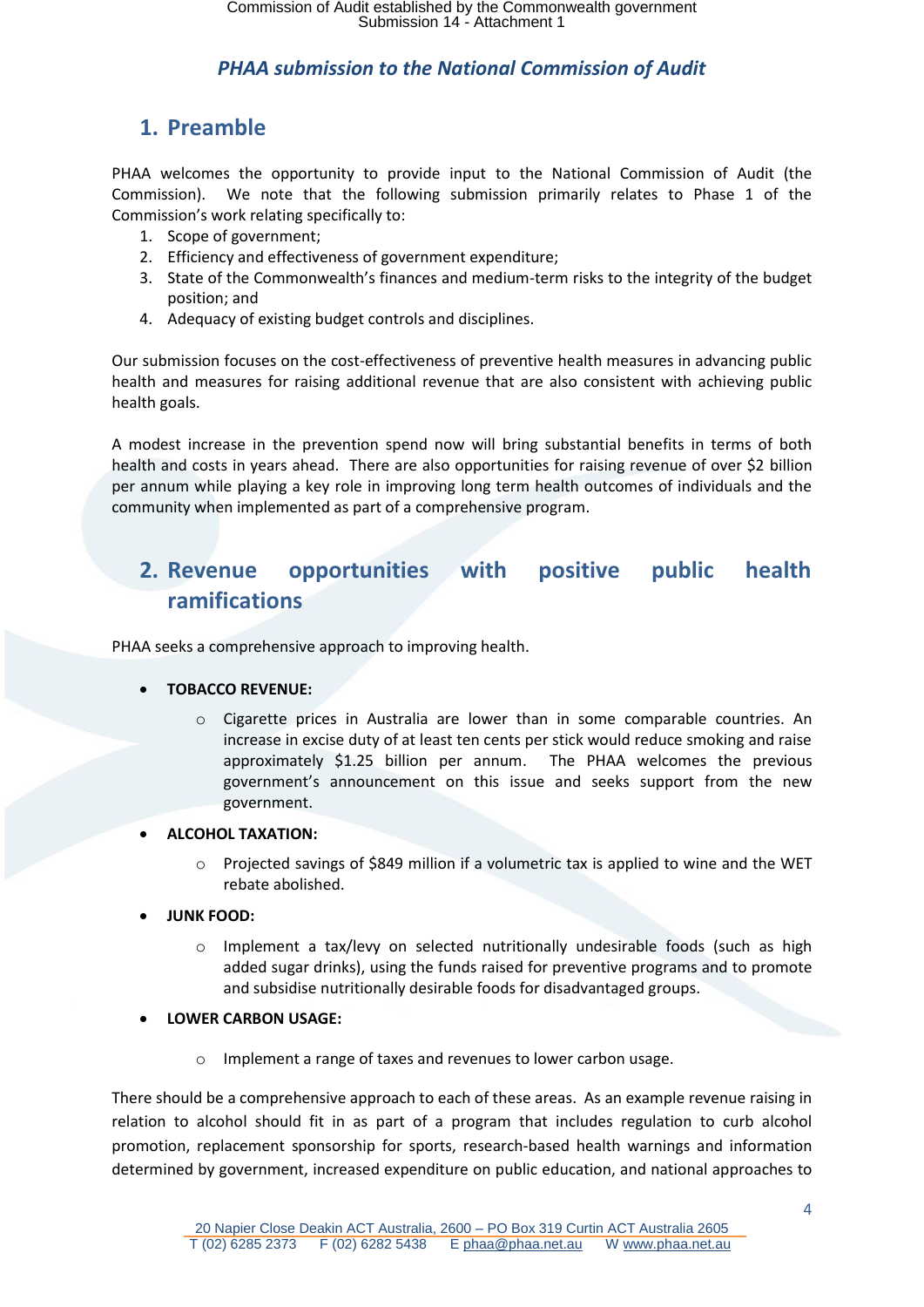# <span id="page-3-0"></span>**1. Preamble**

PHAA welcomes the opportunity to provide input to the National Commission of Audit (the Commission). We note that the following submission primarily relates to Phase 1 of the Commission's work relating specifically to:

- 1. Scope of government;
- 2. Efficiency and effectiveness of government expenditure;
- 3. State of the Commonwealth's finances and medium-term risks to the integrity of the budget position; and
- 4. Adequacy of existing budget controls and disciplines.

Our submission focuses on the cost-effectiveness of preventive health measures in advancing public health and measures for raising additional revenue that are also consistent with achieving public health goals.

A modest increase in the prevention spend now will bring substantial benefits in terms of both health and costs in years ahead. There are also opportunities for raising revenue of over \$2 billion per annum while playing a key role in improving long term health outcomes of individuals and the community when implemented as part of a comprehensive program.

# <span id="page-3-1"></span>**2. Revenue opportunities with positive public health ramifications**

PHAA seeks a comprehensive approach to improving health.

#### **TOBACCO REVENUE:**

- o Cigarette prices in Australia are lower than in some comparable countries. An increase in excise duty of at least ten cents per stick would reduce smoking and raise approximately \$1.25 billion per annum. The PHAA welcomes the previous government's announcement on this issue and seeks support from the new government.
- **ALCOHOL TAXATION:** 
	- $\circ$  Projected savings of \$849 million if a volumetric tax is applied to wine and the WET rebate abolished.
- **JUNK FOOD:** 
	- o Implement a tax/levy on selected nutritionally undesirable foods (such as high added sugar drinks), using the funds raised for preventive programs and to promote and subsidise nutritionally desirable foods for disadvantaged groups.
- **LOWER CARBON USAGE:** 
	- o Implement a range of taxes and revenues to lower carbon usage.

There should be a comprehensive approach to each of these areas. As an example revenue raising in relation to alcohol should fit in as part of a program that includes regulation to curb alcohol promotion, replacement sponsorship for sports, research-based health warnings and information determined by government, increased expenditure on public education, and national approaches to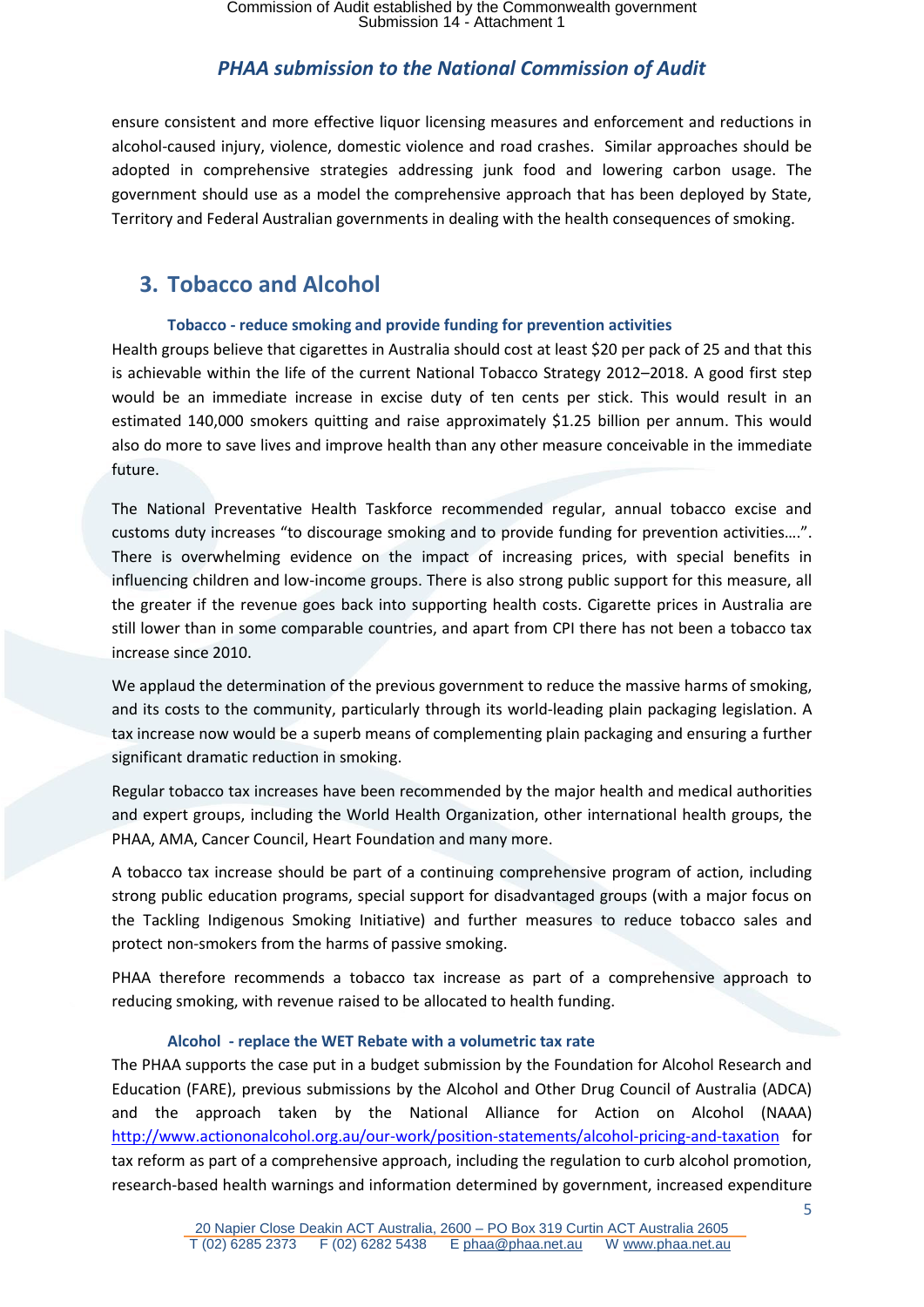ensure consistent and more effective liquor licensing measures and enforcement and reductions in alcohol-caused injury, violence, domestic violence and road crashes. Similar approaches should be adopted in comprehensive strategies addressing junk food and lowering carbon usage. The government should use as a model the comprehensive approach that has been deployed by State, Territory and Federal Australian governments in dealing with the health consequences of smoking.

# <span id="page-4-0"></span>**3. Tobacco and Alcohol**

#### **Tobacco - reduce smoking and provide funding for prevention activities**

<span id="page-4-1"></span>Health groups believe that cigarettes in Australia should cost at least \$20 per pack of 25 and that this is achievable within the life of the current National Tobacco Strategy 2012–2018. A good first step would be an immediate increase in excise duty of ten cents per stick. This would result in an estimated 140,000 smokers quitting and raise approximately \$1.25 billion per annum. This would also do more to save lives and improve health than any other measure conceivable in the immediate future.

The National Preventative Health Taskforce recommended regular, annual tobacco excise and customs duty increases "to discourage smoking and to provide funding for prevention activities….". There is overwhelming evidence on the impact of increasing prices, with special benefits in influencing children and low-income groups. There is also strong public support for this measure, all the greater if the revenue goes back into supporting health costs. Cigarette prices in Australia are still lower than in some comparable countries, and apart from CPI there has not been a tobacco tax increase since 2010.

We applaud the determination of the previous government to reduce the massive harms of smoking, and its costs to the community, particularly through its world-leading plain packaging legislation. A tax increase now would be a superb means of complementing plain packaging and ensuring a further significant dramatic reduction in smoking.

Regular tobacco tax increases have been recommended by the major health and medical authorities and expert groups, including the World Health Organization, other international health groups, the PHAA, AMA, Cancer Council, Heart Foundation and many more.

A tobacco tax increase should be part of a continuing comprehensive program of action, including strong public education programs, special support for disadvantaged groups (with a major focus on the Tackling Indigenous Smoking Initiative) and further measures to reduce tobacco sales and protect non-smokers from the harms of passive smoking.

PHAA therefore recommends a tobacco tax increase as part of a comprehensive approach to reducing smoking, with revenue raised to be allocated to health funding.

#### **Alcohol - replace the WET Rebate with a volumetric tax rate**

<span id="page-4-2"></span>The PHAA supports the case put in a budget submission by the Foundation for Alcohol Research and Education (FARE), previous submissions by the Alcohol and Other Drug Council of Australia (ADCA) and the approach taken by the National Alliance for Action on Alcohol (NAAA) <http://www.actiononalcohol.org.au/our-work/position-statements/alcohol-pricing-and-taxation> for tax reform as part of a comprehensive approach, including the regulation to curb alcohol promotion, research-based health warnings and information determined by government, increased expenditure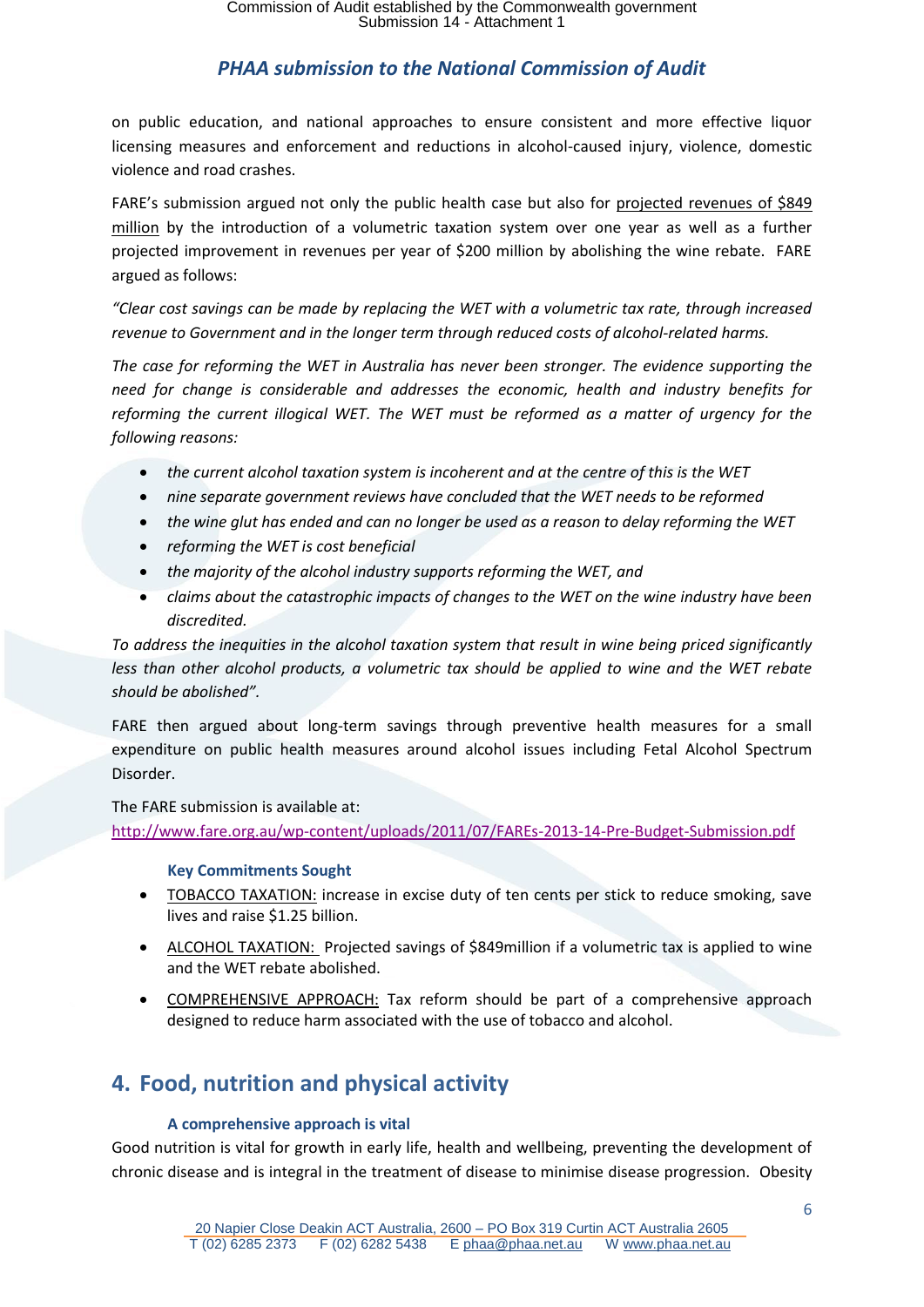on public education, and national approaches to ensure consistent and more effective liquor licensing measures and enforcement and reductions in alcohol-caused injury, violence, domestic violence and road crashes.

FARE's submission argued not only the public health case but also for projected revenues of \$849 million by the introduction of a volumetric taxation system over one year as well as a further projected improvement in revenues per year of \$200 million by abolishing the wine rebate. FARE argued as follows:

*"Clear cost savings can be made by replacing the WET with a volumetric tax rate, through increased revenue to Government and in the longer term through reduced costs of alcohol-related harms.* 

*The case for reforming the WET in Australia has never been stronger. The evidence supporting the need for change is considerable and addresses the economic, health and industry benefits for reforming the current illogical WET. The WET must be reformed as a matter of urgency for the following reasons:* 

- *the current alcohol taxation system is incoherent and at the centre of this is the WET*
- *nine separate government reviews have concluded that the WET needs to be reformed*
- *the wine glut has ended and can no longer be used as a reason to delay reforming the WET*
- *reforming the WET is cost beneficial*
- *the majority of the alcohol industry supports reforming the WET, and*
- *claims about the catastrophic impacts of changes to the WET on the wine industry have been discredited.*

*To address the inequities in the alcohol taxation system that result in wine being priced significantly less than other alcohol products, a volumetric tax should be applied to wine and the WET rebate should be abolished".*

FARE then argued about long-term savings through preventive health measures for a small expenditure on public health measures around alcohol issues including Fetal Alcohol Spectrum Disorder.

The FARE submission is available at: <http://www.fare.org.au/wp-content/uploads/2011/07/FAREs-2013-14-Pre-Budget-Submission.pdf>

#### **Key Commitments Sought**

- <span id="page-5-0"></span>• TOBACCO TAXATION: increase in excise duty of ten cents per stick to reduce smoking, save lives and raise \$1.25 billion.
- ALCOHOL TAXATION: Projected savings of \$849 million if a volumetric tax is applied to wine and the WET rebate abolished.
- COMPREHENSIVE APPROACH: Tax reform should be part of a comprehensive approach designed to reduce harm associated with the use of tobacco and alcohol.

# <span id="page-5-2"></span><span id="page-5-1"></span>**4. Food, nutrition and physical activity**

#### **A comprehensive approach is vital**

Good nutrition is vital for growth in early life, health and wellbeing, preventing the development of chronic disease and is integral in the treatment of disease to minimise disease progression. Obesity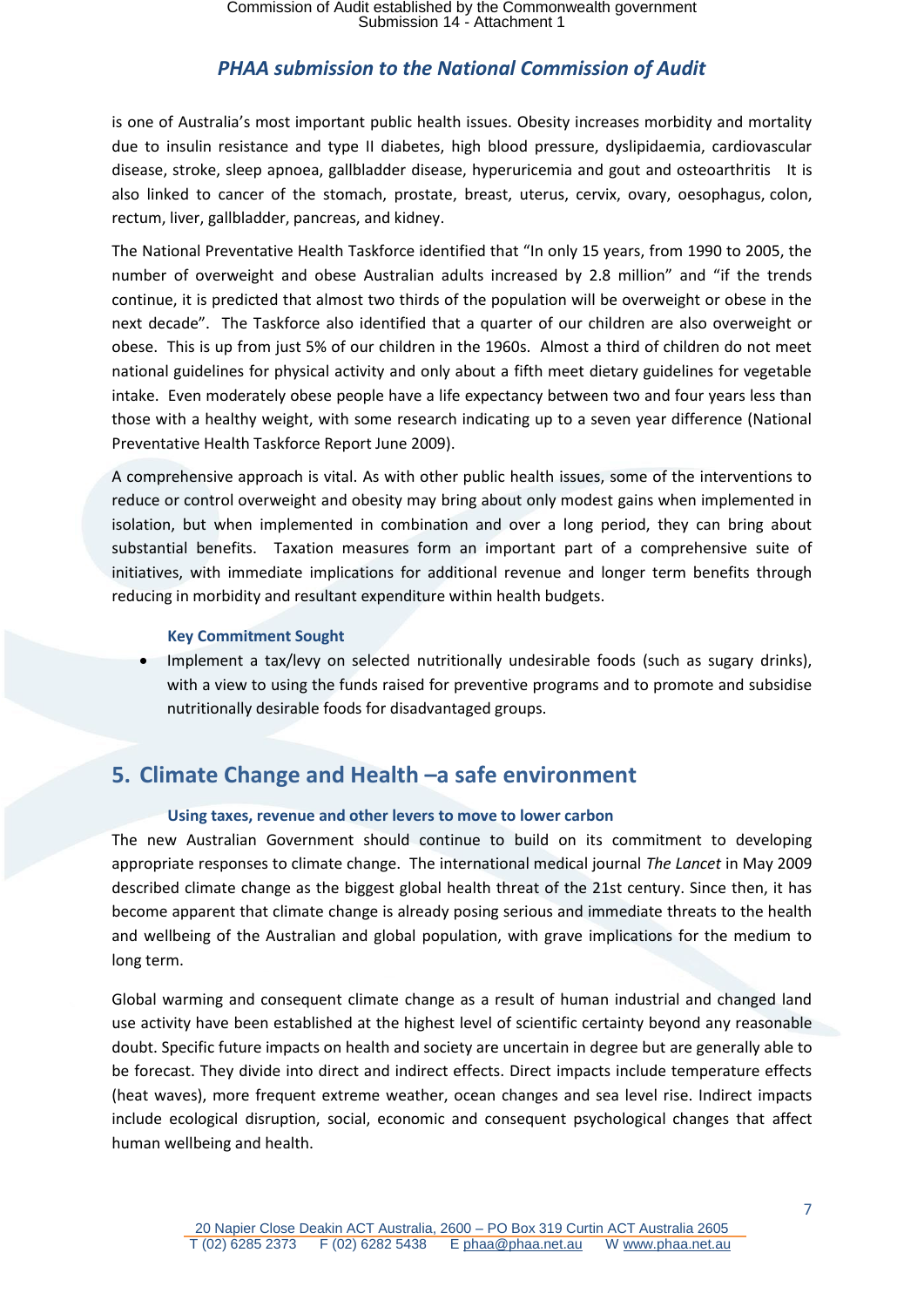is one of Australia's most important public health issues. Obesity increases morbidity and mortality due to insulin resistance and type II diabetes, high blood pressure, dyslipidaemia, cardiovascular disease, stroke, sleep apnoea, gallbladder disease, hyperuricemia and gout and osteoarthritis It is also linked to cancer of the stomach, prostate, breast, uterus, cervix, ovary, oesophagus, colon, rectum, liver, gallbladder, pancreas, and kidney.

The National Preventative Health Taskforce identified that "In only 15 years, from 1990 to 2005, the number of overweight and obese Australian adults increased by 2.8 million" and "if the trends continue, it is predicted that almost two thirds of the population will be overweight or obese in the next decade". The Taskforce also identified that a quarter of our children are also overweight or obese. This is up from just 5% of our children in the 1960s. Almost a third of children do not meet national guidelines for physical activity and only about a fifth meet dietary guidelines for vegetable intake. Even moderately obese people have a life expectancy between two and four years less than those with a healthy weight, with some research indicating up to a seven year difference (National Preventative Health Taskforce Report June 2009).

A comprehensive approach is vital. As with other public health issues, some of the interventions to reduce or control overweight and obesity may bring about only modest gains when implemented in isolation, but when implemented in combination and over a long period, they can bring about substantial benefits. Taxation measures form an important part of a comprehensive suite of initiatives, with immediate implications for additional revenue and longer term benefits through reducing in morbidity and resultant expenditure within health budgets.

#### **Key Commitment Sought**

<span id="page-6-0"></span> Implement a tax/levy on selected nutritionally undesirable foods (such as sugary drinks), with a view to using the funds raised for preventive programs and to promote and subsidise nutritionally desirable foods for disadvantaged groups.

# <span id="page-6-2"></span><span id="page-6-1"></span>**5. Climate Change and Health –a safe environment**

#### **Using taxes, revenue and other levers to move to lower carbon**

The new Australian Government should continue to build on its commitment to developing appropriate responses to climate change. The international medical journal *The Lancet* in May 2009 described climate change as the biggest global health threat of the 21st century. Since then, it has become apparent that climate change is already posing serious and immediate threats to the health and wellbeing of the Australian and global population, with grave implications for the medium to long term.

Global warming and consequent climate change as a result of human industrial and changed land use activity have been established at the highest level of scientific certainty beyond any reasonable doubt. Specific future impacts on health and society are uncertain in degree but are generally able to be forecast. They divide into direct and indirect effects. Direct impacts include temperature effects (heat waves), more frequent extreme weather, ocean changes and sea level rise. Indirect impacts include ecological disruption, social, economic and consequent psychological changes that affect human wellbeing and health.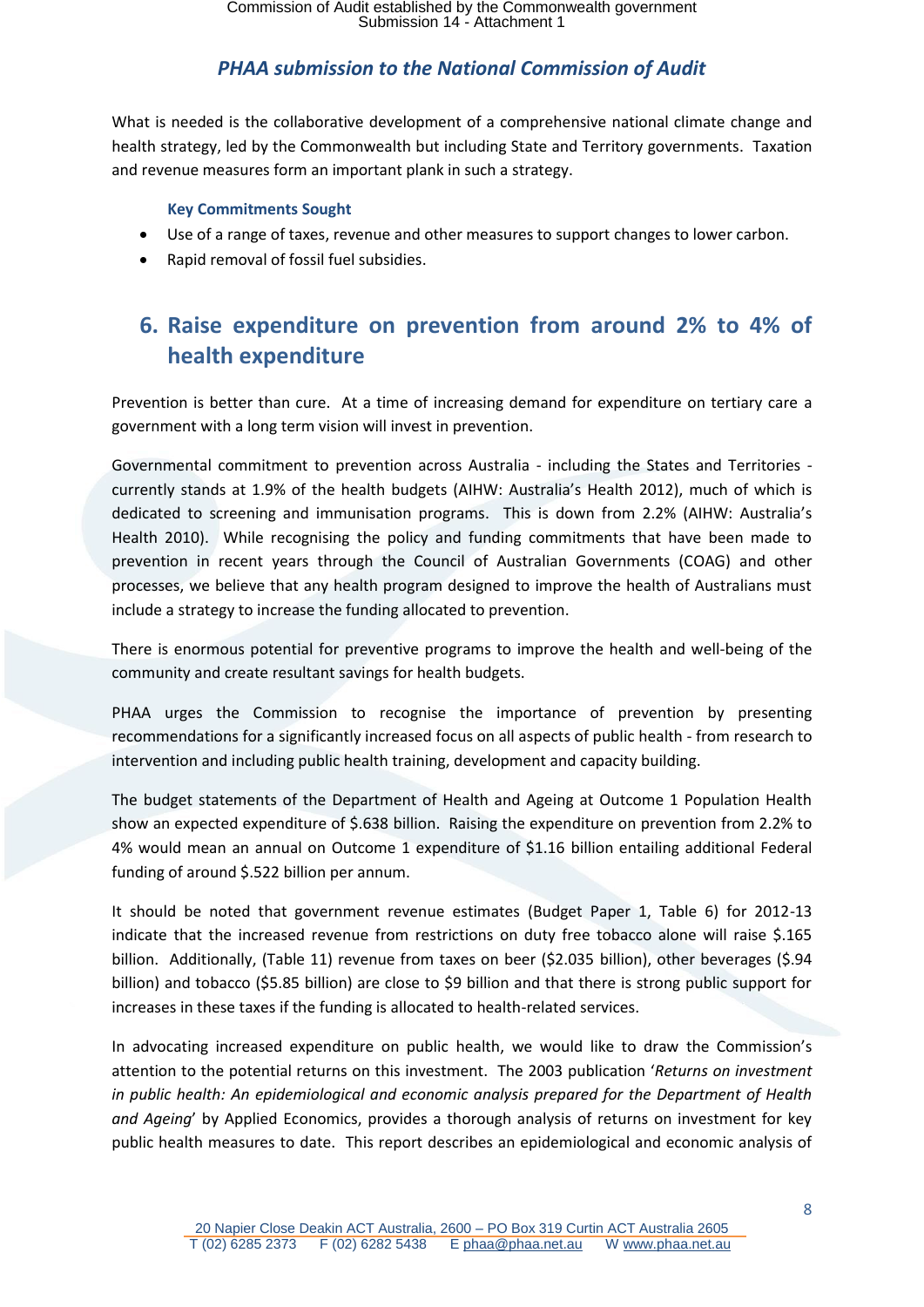What is needed is the collaborative development of a comprehensive national climate change and health strategy, led by the Commonwealth but including State and Territory governments. Taxation and revenue measures form an important plank in such a strategy.

#### **Key Commitments Sought**

- <span id="page-7-0"></span>Use of a range of taxes, revenue and other measures to support changes to lower carbon.
- <span id="page-7-1"></span>Rapid removal of fossil fuel subsidies.

# **6. Raise expenditure on prevention from around 2% to 4% of health expenditure**

Prevention is better than cure. At a time of increasing demand for expenditure on tertiary care a government with a long term vision will invest in prevention.

Governmental commitment to prevention across Australia - including the States and Territories currently stands at 1.9% of the health budgets (AIHW: Australia's Health 2012), much of which is dedicated to screening and immunisation programs. This is down from 2.2% (AIHW: Australia's Health 2010). While recognising the policy and funding commitments that have been made to prevention in recent years through the Council of Australian Governments (COAG) and other processes, we believe that any health program designed to improve the health of Australians must include a strategy to increase the funding allocated to prevention.

There is enormous potential for preventive programs to improve the health and well-being of the community and create resultant savings for health budgets.

PHAA urges the Commission to recognise the importance of prevention by presenting recommendations for a significantly increased focus on all aspects of public health - from research to intervention and including public health training, development and capacity building.

The budget statements of the Department of Health and Ageing at Outcome 1 Population Health show an expected expenditure of \$.638 billion. Raising the expenditure on prevention from 2.2% to 4% would mean an annual on Outcome 1 expenditure of \$1.16 billion entailing additional Federal funding of around \$.522 billion per annum.

It should be noted that government revenue estimates (Budget Paper 1, Table 6) for 2012-13 indicate that the increased revenue from restrictions on duty free tobacco alone will raise \$.165 billion. Additionally, (Table 11) revenue from taxes on beer (\$2.035 billion), other beverages (\$.94 billion) and tobacco (\$5.85 billion) are close to \$9 billion and that there is strong public support for increases in these taxes if the funding is allocated to health-related services.

In advocating increased expenditure on public health, we would like to draw the Commission's attention to the potential returns on this investment. The 2003 publication '*Returns on investment in public health: An epidemiological and economic analysis prepared for the Department of Health and Ageing*' by Applied Economics, provides a thorough analysis of returns on investment for key public health measures to date. This report describes an epidemiological and economic analysis of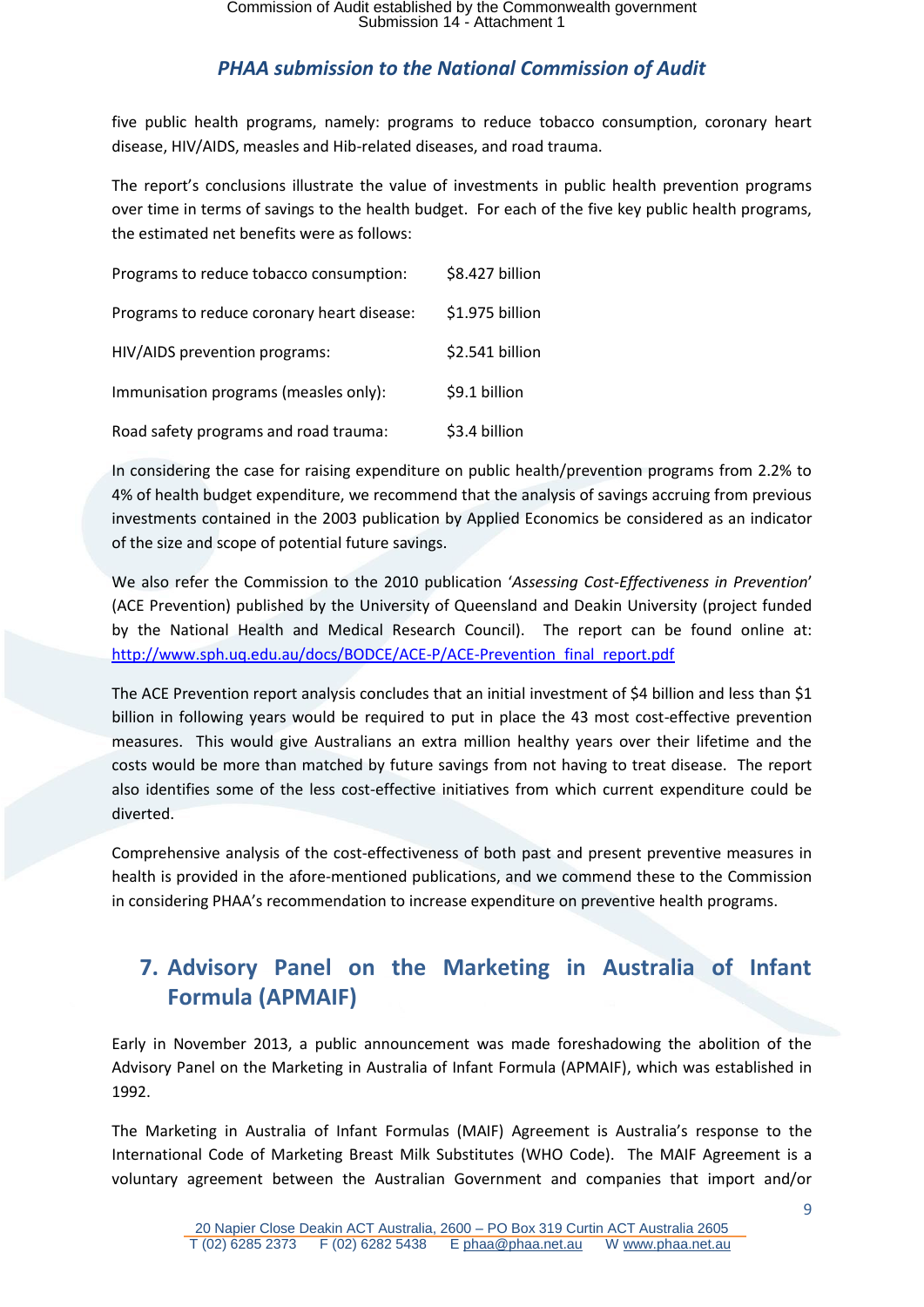five public health programs, namely: programs to reduce tobacco consumption, coronary heart disease, HIV/AIDS, measles and Hib-related diseases, and road trauma.

The report's conclusions illustrate the value of investments in public health prevention programs over time in terms of savings to the health budget. For each of the five key public health programs, the estimated net benefits were as follows:

| Programs to reduce tobacco consumption:    | \$8.427 billion |
|--------------------------------------------|-----------------|
| Programs to reduce coronary heart disease: | \$1.975 billion |
| HIV/AIDS prevention programs:              | \$2.541 billion |
| Immunisation programs (measles only):      | \$9.1 billion   |
| Road safety programs and road trauma:      | \$3.4 billion   |

In considering the case for raising expenditure on public health/prevention programs from 2.2% to 4% of health budget expenditure, we recommend that the analysis of savings accruing from previous investments contained in the 2003 publication by Applied Economics be considered as an indicator of the size and scope of potential future savings.

We also refer the Commission to the 2010 publication '*Assessing Cost-Effectiveness in Prevention*' (ACE Prevention) published by the University of Queensland and Deakin University (project funded by the National Health and Medical Research Council). The report can be found online at: [http://www.sph.uq.edu.au/docs/BODCE/ACE-P/ACE-Prevention\\_final\\_report.pdf](http://www.sph.uq.edu.au/docs/BODCE/ACE-P/ACE-Prevention_final_report.pdf)

The ACE Prevention report analysis concludes that an initial investment of \$4 billion and less than \$1 billion in following years would be required to put in place the 43 most cost-effective prevention measures. This would give Australians an extra million healthy years over their lifetime and the costs would be more than matched by future savings from not having to treat disease. The report also identifies some of the less cost-effective initiatives from which current expenditure could be diverted.

Comprehensive analysis of the cost-effectiveness of both past and present preventive measures in health is provided in the afore-mentioned publications, and we commend these to the Commission in considering PHAA's recommendation to increase expenditure on preventive health programs.

# <span id="page-8-0"></span>**7. Advisory Panel on the Marketing in Australia of Infant Formula (APMAIF)**

Early in November 2013, a public announcement was made foreshadowing the abolition of the Advisory Panel on the Marketing in Australia of Infant Formula (APMAIF), which was established in 1992.

The Marketing in Australia of Infant Formulas (MAIF) Agreement is Australia's response to the International Code of Marketing Breast Milk Substitutes (WHO Code). The MAIF Agreement is a voluntary agreement between the Australian Government and companies that import and/or